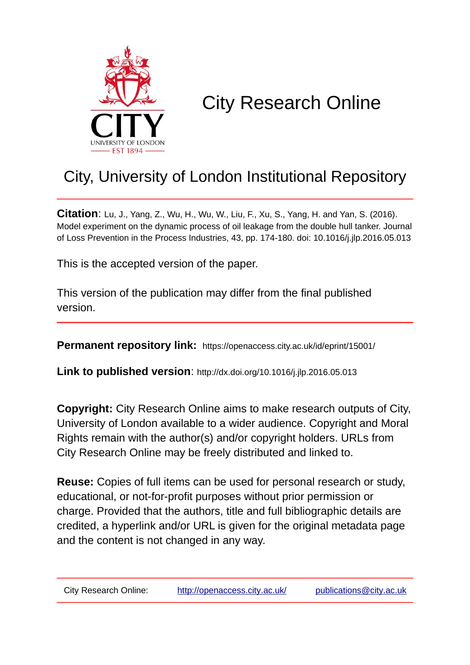

# City Research Online

## City, University of London Institutional Repository

**Citation**: Lu, J., Yang, Z., Wu, H., Wu, W., Liu, F., Xu, S., Yang, H. and Yan, S. (2016). Model experiment on the dynamic process of oil leakage from the double hull tanker. Journal of Loss Prevention in the Process Industries, 43, pp. 174-180. doi: 10.1016/j.jlp.2016.05.013

This is the accepted version of the paper.

This version of the publication may differ from the final published version.

**Permanent repository link:** https://openaccess.city.ac.uk/id/eprint/15001/

**Link to published version**: http://dx.doi.org/10.1016/j.jlp.2016.05.013

**Copyright:** City Research Online aims to make research outputs of City, University of London available to a wider audience. Copyright and Moral Rights remain with the author(s) and/or copyright holders. URLs from City Research Online may be freely distributed and linked to.

**Reuse:** Copies of full items can be used for personal research or study, educational, or not-for-profit purposes without prior permission or charge. Provided that the authors, title and full bibliographic details are credited, a hyperlink and/or URL is given for the original metadata page and the content is not changed in any way.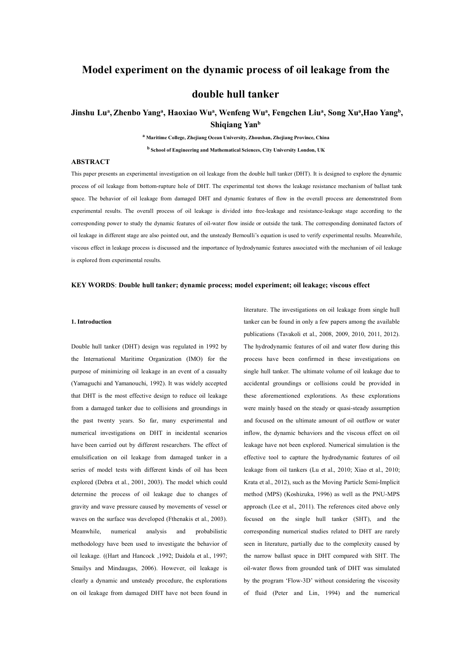## **Model experiment on the dynamic process of oil leakage from the**

## **double hull tanker**

#### Jinshu Luª, Zhenbo Yangª, Haoxiao Wuª, Wenfeng Wuª, Fengchen Liuª, Song Xuª,Hao Yangʰ, **b , Shiqiang Yan b**

**<sup>a</sup> Maritime College,Zhejiang Ocean University, Zhoushan, Zhejiang Province, China <sup>b</sup> School of Engineering and Mathematical Sciences, City University London, UK**

#### **ABSTRACT**

This paper presents an experimental investigation on oil leakage from the double hull tanker (DHT). It is designed to explore the dynamic process of oil leakage from bottom-rupture hole of DHT. The experimental test shows the leakage resistance mechanism of ballast tank space. The behavior of oil leakage from damaged DHT and dynamic features of flow in the overall process are demonstrated from experimental results. The overall process of oil leakage is divided into free-leakage and resistance-leakage stage according to the corresponding power to study the dynamic features of oil-water flow inside or outside the tank. The corresponding dominated factors of oil leakage in different stage are also pointed out, and the unsteady Bernoulli's equation is used to verify experimental results. Meanwhile, viscous effect in leakage process is discussed and the importance of hydrodynamic features associated with the mechanism of oil leakage is explored from experimental results.

#### **KEY WORDS**: **Double hull tanker; dynamic process; model experiment; oil leakage; viscous effect**

#### **1. Introduction**

Double hull tanker (DHT) design was regulated in 1992 by the International Maritime Organization (IMO) for the purpose of minimizing oil leakage in an event of a casualty (Yamaguchi and Yamanouchi, 1992). It was widely accepted that DHT is the most effective design to reduce oil leakage from a damaged tanker due to collisions and groundings in the past twenty years. So far, many experimental and numerical investigations on DHT in incidental scenarios have been carried out by different researchers. The effect of emulsification on oil leakage from damaged tanker in a series of model tests with different kinds of oil has been explored (Debra etal., 2001, 2003). The model which could determine the process of oil leakage due to changes of gravity and wave pressure caused by movements of vessel or waves on the surface was developed (Fthenakis et al., 2003). Meanwhile, numerical analysis and probabilistic corresponding numerical studies related to DHT are rarely methodology have been used to investigate the behavior of oil leakage. ((Hart and Hancock ,1992; Daidola et al., 1997; Smailys and Mindaugas, 2006). However, oil leakage is clearly a dynamic and unsteady procedure, the explorations on oil leakage from damaged DHT have not been found in

literature. The investigations on oil leakage from single hull tanker can be found in only a few papers among the available publications (Tavakoli et al., 2008, 2009, 2010, 2011, 2012). The hydrodynamic features of oil and water flow during this process have been confirmed in these investigations on single hull tanker. The ultimate volume of oil leakage due to accidental groundings or collisions could be provided in these aforementioned explorations. As these explorations were mainly based on the steady or quasi-steady assumption and focused on the ultimate amount of oil outflow or water inflow, the dynamic behaviors and the viscous effect on oil leakage have not been explored. Numerical simulation is the effective tool to capture the hydrodynamic features of oil leakage from oil tankers (Lu et al., 2010; Xiao et al., 2010; Krata et al., 2012), such as the Moving Particle Semi-Implicit method (MPS) (Koshizuka, 1996) as well as the PNU-MPS approach (Lee et al.,2011). The references cited above only focused on the single hull tanker (SHT), and the seen in literature, partially due to the complexity caused by the narrow ballast space in DHT compared with SHT. The oil-water flows from grounded tank of DHT was simulated by the program 'Flow-3D' without considering the viscosity of fluid (Peter and Lin, 1994) and the numerical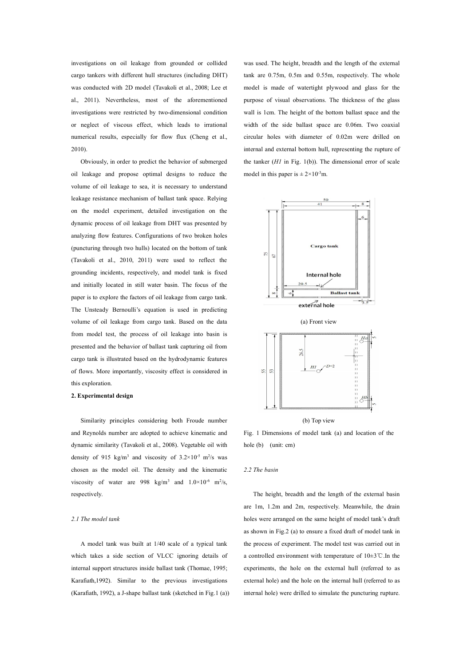investigations on oil leakage from grounded or collided cargo tankers with different hull structures (including DHT) was conducted with 2D model (Tavakoli et al., 2008; Lee et al., 2011). Nevertheless, most of the aforementioned investigations were restricted by two-dimensional condition or neglect of viscous effect, which leads to irrational numerical results, especially for flow flux (Cheng et al., 2010).

Obviously, in order to predict the behavior of submerged oil leakage and propose optimal designs to reduce the volume of oil leakage to sea, it is necessary to understand leakage resistance mechanism of ballast tank space. Relying on the model experiment, detailed investigation on the dynamic process of oil leakage from DHT was presented by analyzing flow features. Configurations of two broken holes (puncturing through two hulls) located on the bottom of tank (Tavakoli et al., 2010, 2011) were used to reflect the grounding incidents, respectively, and model tank is fixed and initially located in still water basin. The focus of the paper is to explore the factors of oil leakage from cargo tank. The Unsteady Bernoulli's equation is used in predicting volume of oil leakage from cargo tank. Based on the data from model test, the process of oil leakage into basin is presented and the behavior of ballast tank capturing oil from cargo tank is illustrated based on the hydrodynamic features of flows. More importantly, viscosity effect is considered in  $\mathbb{R}$ this exploration.

#### **2. Experimental design**

Similarity principles considering both Froude number and Reynolds number are adopted to achieve kinematic and dynamic similarity (Tavakoli et al., 2008). Vegetable oil with density of 915 kg/m<sup>3</sup> and viscosity of  $3.2 \times 10^{-5}$  m<sup>2</sup>/s was chosen as the model oil. The density and the kinematic viscosity of water are 998 kg/m<sup>3</sup> and  $1.0 \times 10^{-6}$  m<sup>2</sup>/s, respectively.

#### *2.1 The model tank*

A model tank was built at 1/40 scale of a typical tank which takes a side section of VLCC ignoring details of internal support structures inside ballast tank (Thomae, 1995; Karafiath,1992). Similar to the previous investigations (Karafiath, 1992), a J-shape ballast tank (sketched in Fig.1 (a)) was used. The height, breadth and the length of the external tank are 0.75m, 0.5m and 0.55m, respectively. The whole model is made of watertight plywood and glass for the purpose of visual observations. The thickness of the glass wall is 1cm. The height of the bottom ballast space and the width of the side ballast space are 0.06m. Two coaxial circular holes with diameter of 0.02m were drilled on internal and external bottom hull, representing the rupture of the tanker (*H1* in Fig. 1(b)). The dimensional error of scale model in this paper is  $\pm 2 \times 10^{-3}$ m.



Fig. 1 Dimensions of model tank (a) and location of the hole (b) (unit: cm)

#### *2.2 The basin*

The height, breadth and the length of the external basin are 1m, 1.2m and 2m, respectively. Meanwhile, the drain holes were arranged on the same height of model tank's draft<br>as shown in Fig.2 (a) to ensure a fixed draft of model tank in the process of experiment. The model test was carried out in a controlled environment with temperature of 10±3℃.In the experiments, the hole on the external hull (referred to as external hole) and the hole on the internal hull (referred to as internal hole) were drilled to simulate the puncturing rupture.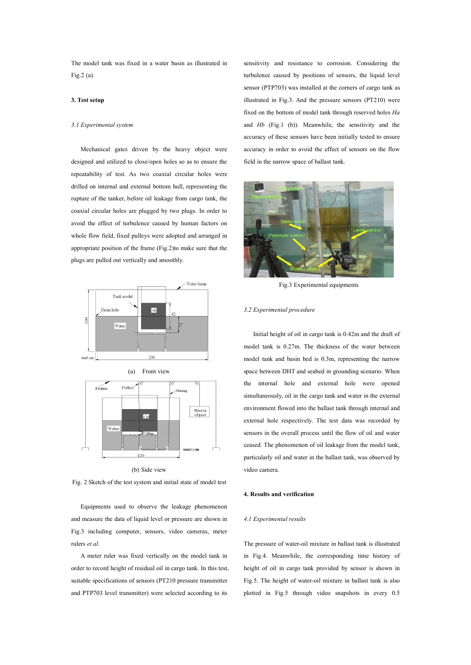The model tank was fixed in a water basin as illustrated in Fig.2 (a).

#### **3. Test setup**

#### *3.1 Experimental system*

Mechanical gates driven by the heavy object were designed and utilized to close/open holes so as to ensure the repeatability of test. As two coaxial circular holes were drilled on internal and external bottom hull, representing the rupture of the tanker, before oil leakage from cargo tank, the coaxial circular holes are plugged by two plugs. In order to avoid the effect of turbulence caused by human factors on whole flow field, fixed pulleys were adopted and arranged in appropriate position of the frame (Fig.2)to make sure that the plugs are pulled out vertically and smoothly.



(b) Side view

Fig. 2 Sketch of the test system and initial state of model test

Equipments used to observe the leakage phenomenon and measure the data of liquid level or pressure are shown in Fig.3 including computer, sensors, video cameras, meter rulers *et al*.

A meter ruler was fixed vertically on the model tank in order to record height of residual oil in cargo tank.In this test, suitable specifications of sensors (PT210 pressure transmitter and PTP703 level transmitter) were selected according to its

sensitivity and resistance to corrosion. Considering the turbulence caused by positions of sensors, the liquid level sensor (PTP703) was installed at the corners of cargo tank as illustrated in Fig.3. And the pressure sensors (PT210) were fixed on the bottom of model tank through reserved holes *Ha* and *Hb* (Fig.1 (b)). Meanwhile, the sensitivity and the accuracy of these sensors have been initially tested to ensure accuracy in order to avoid the effect of sensors on the flow field in the narrow space of ballast tank.



Fig.3 Experimental equipments

#### *3.2 Experimental procedure*

Initial height of oil in cargo tank is 0.42m and the draft of model tank is 0.27m. The thickness of the water between model tank and basin bed is 0.3m, representing the narrow space between DHT and seabed in grounding scenario. When the internal hole and external hole were opened simultaneously, oil in the cargo tank and water in the external environment flowed into the ballast tank through internal and external hole respectively. The test data was recorded by sensors in the overall process until the flow of oil and water ceased. The phenomenon of oil leakage from the model tank, particularly oil and water in the ballast tank, was observed by video camera.

#### **4. Results and [verification](javascript:void(0);)**

#### *4.1 Experimental results*

The pressure of water-oil mixture in ballast tank is illustrated in Fig.4. Meanwhile, the corresponding time history of height of oil in cargo tank provided by sensor is shown in Fig.5. The height of water-oil mixture in ballast tank is also plotted in Fig.5 through video snapshots in every 0.5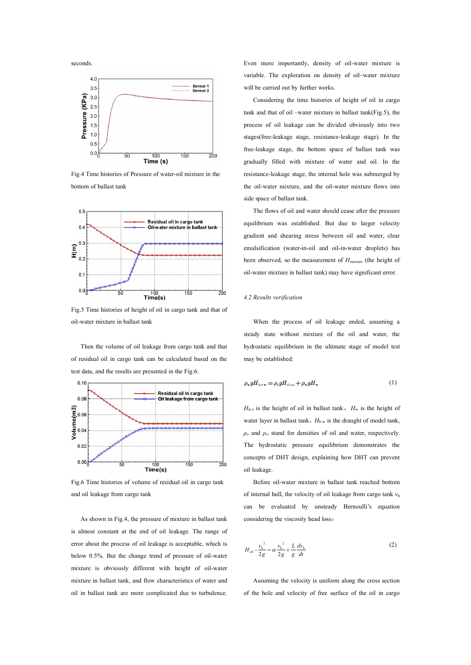

Fig.4 Time histories of Pressure of water-oil mixture in the bottom of ballast tank



Fig.5 Time histories of height of oil in cargo tank and that of oil-water mixture in ballast tank

Then the volume of oil leakage from cargo tank and that of residual oil in cargo tank can be calculated based on the test data, and the results are presented in the Fig.6.



Fig.6 Time histories of volume of residual oil in cargo tank and oil leakage from cargo tank

As shown in Fig.4, the pressure of mixture in ballast tank is almost constant at the end of oil leakage. The range of error about the process of oil leakage is acceptable, which is below 0.5%. But the change trend of pressure of oil-water mixture is obviously different with height of oil-water mixture in ballast tank, and flow characteristics of water and oil in ballast tank are more complicated due to turbulence. Even more importantly, density of oil-water mixture is variable. The exploration on density of oil–water mixture will be carried out by further works.

Considering the time histories of height of oil in cargo tank and that of oil–water mixture in ballast tank(Fig.5), the process of oil leakage can be divided obviously into two stages(free-leakage stage, resistance-leakage stage). In the free-leakage stage, the bottom space of ballast tank wasgradually filled with mixture of water and oil. In the resistance-leakage stage, the internal hole was submerged by the oil-water mixture, and the oil-water mixture flows into side space of ballast tank.

The flows of oil and water should cease after the pressure equilibrium was established. But due to larger velocity gradient and shearing stress between oil and water, clear emulsification (water-in-oil and oil-in-water droplets) has been observed, so the measurement of *H*<sub>mixture</sub> (the height of oil-water mixture in ballast tank) may have significant error.

#### *4.2 Results [verification](javascript:void(0);)*

When the process of oil leakage ended, assuming a steady state without mixture of the oil and water, the hydrostatic equilibrium in the ultimate stage of model test may be established:

$$
\rho_w g H_{\text{b-w}} = \rho_o g H_{\text{d}-\text{o}} + \rho_w g H_w \tag{1}
$$

 $H_{d-0}$  is the height of oil in ballast tank,  $H_w$  is the height of water layer in ballast tank,  $H_{b-w}$  is the draught of model tank,  $\rho$ <sup>*o*</sup> and  $\rho$ <sup>*w*</sup> stand for densities of oil and water, respectively. The hydrostatic pressure equilibrium demonstrates the concepts of DHT design, explaining how DHT can prevent oil leakage.

Before oil-water mixture in ballast tank reached bottom of internal hull, the velocity of oil leakage from cargo tank  $v<sub>h</sub>$ can be evaluated by unsteady Bernoulli's equation considering the viscosity head loss:

$$
H_{\text{oil}} - \frac{v_{\text{h}}^2}{2g} = \alpha \frac{v_{\text{h}}^2}{2g} + \frac{L}{g} \frac{dv_{\text{h}}}{dt}
$$
 (2)

Assuming the velocity is uniform along the cross section of the hole and velocity of free surface of the oil in cargo

seconds.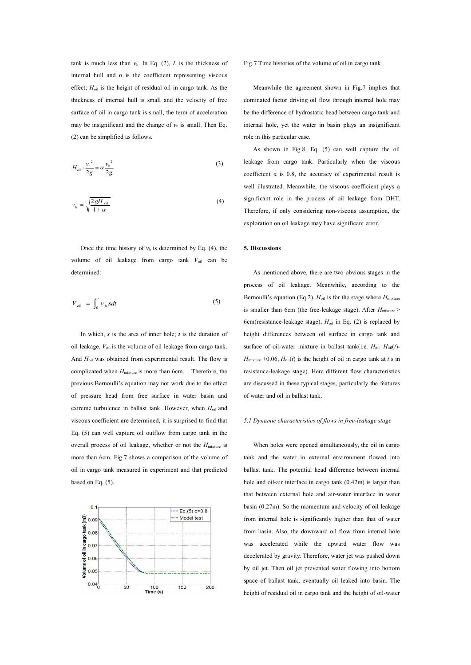tank is much less than  $v<sub>h</sub>$ . In Eq. (2), *L* is the thickness of internal hull and  $\alpha$  is the coefficient representing viscous effect;  $H_{oil}$  is the height of residual oil in cargo tank. As the thickness of internal hull is small and the velocity of free surface of oil in cargo tank is small, the term of acceleration may be insignificant and the change of  $v<sub>h</sub>$  is small. Then Eq. (2) can be simplified as follows.

$$
H_{\text{oil}} - \frac{v_{\text{h}}^2}{2g} = \alpha \frac{v_{\text{h}}^2}{2g}
$$
 (3) leakage from car  
coefficient  $\alpha$  is 0.

$$
v_{\rm h} = \sqrt{\frac{2 \, gH_{\rm oil}}{1 + \alpha}}
$$
 (4) significant role in the proc  
Therefore, if only consider

Once the time history of  $v<sub>h</sub>$  is determined by Eq. (4), the volume of oil leakage from cargo tank *V*oil can be determined:

$$
V_{\text{oil}} = \int_0^t v_{\text{h}} s dt
$$
 (5)

In which, *s* is the area of inner hole; *t* is the duration of oil leakage, *V*oil is the volume of oil leakage from cargo tank. And *H*oil was obtained from experimental result. The flow is complicated when  $H_{\text{mixture}}$  is more than 6cm. Therefore, the previous Bernoulli's equation may not work due to the effect of pressure head from free surface in water basin and extreme turbulence in ballast tank. However, when *H*<sub>oil</sub> and viscous coefficient are determined, it is surprised to find that Eq. (5) can well capture oil outflow from cargo tank in the overall process of oil leakage, whether or not the  $H_{\text{mixture}}$  is more than 6cm. Fig.7 shows a comparison of the volume of oil in cargo tank measured in experiment and that predicted based on Eq. (5).



#### Fig.7 Time histories of the volume of oil in cargo tank

Meanwhile the agreement shown in Fig.7 implies that dominated factor driving oil flow through internal hole may be the difference of hydrostatic head between cargo tank and internal hole, yet the water in basin plays an insignificant role in this particular case.

*g* coefficient  $\alpha$  is 0.8, the accuracy of experimental result is (3) leakage from cargo tank. Particularly when the viscous  $+\alpha$  Therefore, if only considering non-viscous assumption, the (4) significant role in the process of oil leakage from DHT. As shown in Fig.8, Eq. (5) can well capture the oil well illustrated. Meanwhile, the viscous coefficient plays a exploration on oil leakage may have significant error.

#### **5. Discussions**

(5) Bernoulli's equation (Eq.2),  $H_{\text{oil}}$  is for the stage where  $H_{\text{mixture}}$ As mentioned above, there are two obvious stages in the process of oil leakage. Meanwhile, according to the is smaller than 6cm (the free-leakage stage). After  $H_{\text{mixture}}$  > 6cm(resistance-leakage stage), *H*oil in Eq. (2) is replaced by height differences between oil surface in cargo tank and surface of oil-water mixture in ballast tank(i.e.  $H_{\text{oil}}=H_{\text{oil}}(t)$ - $H_{\text{mixture}} +0.06$ ,  $H_{\text{oil}}(t)$  is the height of oil in cargo tank at *t* s in resistance-leakage stage). Here different flow characteristics are discussed in these typical stages, particularly the features of water and oil in ballast tank.

#### *5.1 Dynamic characteristics of flows in free-leakage stage*

When holes were opened simultaneously, the oil in cargo tank and the water in external environment flowed into ballast tank. The potential head difference between internal hole and oil-air interface in cargo tank (0.42m) is larger than that between external hole and air-water interface in water basin (0.27m). So the momentum and velocity of oil leakage from internal hole is significantly higher than that of water from basin. Also, the downward oil flow from internal hole was accelerated while the upward water flow was decelerated by gravity. Therefore, water jet was pushed down by oil jet. Then oil jet prevented water flowing into bottom space of ballast tank, eventually oil leaked into basin. The height of residual oil in cargo tank and the height of oil-water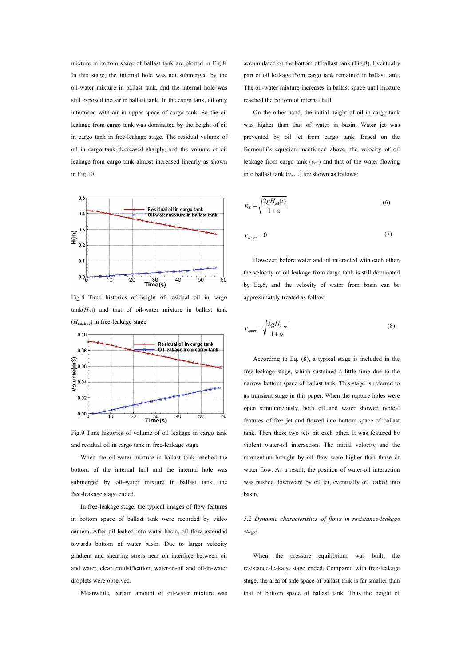mixture in bottom space of ballast tank are plotted in Fig.8. In this stage, the internal hole was not submerged by the oil-water mixture in ballast tank, and the internal hole was still exposed the air in ballast tank. In the cargo tank, oil only interacted with air in upper space of cargo tank. So the oil leakage from cargo tank was dominated by the height of oil in cargo tank in free-leakage stage. The residual volume of oil in cargo tank decreased sharply, and the volume of oil leakage from cargo tank almost increased linearly as shown in Fig.10.



Fig.8 Time histories of height of residual oil in cargo  $tank(H_{oil})$  and that of oil-water mixture in ballast tank (*H*mixtrue) in free-leakage stage



Fig.9 Time histories of volume of oil leakage in cargo tank and residual oil in cargo tank in free-leakage stage

When the oil-water mixture in ballast tank reached the bottom of the internal hull and the internal hole was submerged by oil–water mixture in ballast tank, the free-leakage stage ended.

In free-leakage stage, the typical images of flow features in bottom space of ballast tank were recorded by video camera. After oil leaked into water basin, oil flow extended towards bottom of water basin. Due to larger velocity gradient and shearing stress near on interface between oil and water, clear emulsification, water-in-oil and oil-in-water droplets were observed.

Meanwhile, certain amount of oil-water mixture was

accumulated on the bottom of ballast tank (Fig.8). Eventually, part of oil leakage from cargo tank remained in ballast tank. The oil-water mixture increases in ballast space until mixture reached the bottom of internal hull.

On the other hand, the initial height of oil in cargo tank was higher than that of water in basin. Water jet was prevented by oil jet from cargo tank. Based on the Bernoulli's equation mentioned above, the velocity of oil leakage from cargo tank  $(v_{\text{oil}})$  and that of the water flowing into ballast tank ( $v<sub>water</sub>$ ) are shown as follows:

$$
v_{\text{oil}} = \sqrt{\frac{2gH_{\text{oil}}(t)}{1+\alpha}}
$$
\n(6)

$$
v_{\text{water}} = 0 \tag{7}
$$

However, before water and oil interacted with each other,<br>the velocity of oil leakage from cargo tank is still dominated by Eq.6, and the velocity of water from basin can be approximately treated as follow:

$$
v_{\text{water}} = \sqrt{\frac{2gH_{\text{b-w}}}{1+\alpha}}
$$
 (8)

According to Eq. (8), a typical stage is included in the free-leakage stage, which sustained a little time due to the narrow bottom space of ballast tank. This stage is referred to as transient stage in this paper. When the rupture holes were open simultaneously, both oil and water showed typical features of free jet and flowed into bottom space of ballast tank. Then these two jets hit each other. It was featured by violent water-oil interaction. The initial velocity and the momentum brought by oil flow were higher than those of water flow. As a result, the position of water-oil interaction was pushed downward by oil jet, eventually oil leaked into basin.

### *5.2 Dynamic characteristics of flows in resistance-leakage stage*

When the pressure equilibrium was built, the resistance-leakage stage ended. Compared with free-leakage stage, the area of side space of ballast tank is far smaller than that of bottom space of ballast tank. Thus the height of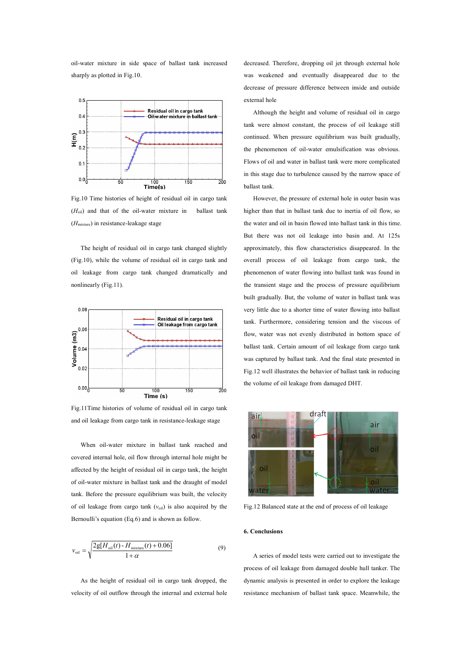oil-water mixture in side space of ballast tank increased sharply as plotted in Fig.10.



Fig.10 Time histories of height of residual oil in cargo tank  $(H<sub>oil</sub>)$  and that of the oil-water mixture in ballast tank (*H*mixture) in resistance-leakage stage

The height of residual oil in cargo tank changed slightly (Fig.10), while the volume of residual oil in cargo tank and oil leakage from cargo tank changed dramatically and nonlinearly (Fig.11).



Fig.11Time histories of volume of residual oil in cargo tank and oil leakage from cargo tank in resistance-leakage stage

When oil-water mixture in ballast tank reached and covered internal hole, oil flow through internal hole might be affected by the height of residual oil in cargo tank, the height $\overrightarrow{O}$ of oil-water mixture in ballast tank and the draught of model tank. Before the pressure equilibrium was built, the velocity of oil leakage from cargo tank  $(v_{\text{oil}})$  is also acquired by the Bernoulli's equation (Eq.6) and is shown as follow.

$$
v_{\text{oil}} = \sqrt{\frac{2g[H_{\text{oil}}(t) - H_{\text{mixture}}(t) + 0.06]}{1 + \alpha}}
$$
 (9) A series of model tests were carried

As the height of residual oil in cargo tank dropped, the velocity of oil outflow through the internal and external hole decreased. Therefore, dropping oil jet through external hole was weakened and eventually disappeared due to the decrease of pressure difference between inside and outside external hole

Although the height and volume of residual oil in cargo tank were almost constant, the process of oil leakage still continued. When pressure equilibrium was built gradually, the phenomenon of oil-water emulsification was obvious. Flows of oil and water in ballast tank were more complicated in this stage due to turbulence caused by the narrow space of ballast tank.

However, the pressure of external hole in outer basin was higher than that in ballast tank due to inertia of oil flow, so the water and oil in basin flowed into ballast tank in this time. But there was not oil leakage into basin and. At 125s approximately, this flow characteristics disappeared. In the overall process of oil leakage from cargo tank, the phenomenon of water flowing into ballast tank was found in the transient stage and the process of pressure equilibrium built gradually. But, the volume of water in ballast tank was very little due to a shorter time of water flowing into ballast tank. Furthermore, considering tension and the viscous of flow, water was not evenly distributed in bottom space of ballast tank. Certain amount of oil leakage from cargo tank was captured by ballast tank. And the final state presented in Fig.12 well illustrates the behavior of ballast tank in reducing the volume of oil leakage from damaged DHT.



Fig.12 Balanced state at the end of process of oil leakage

#### **6. Conclusions**

 $1 + \alpha$  A series of model tests were carried out to investigate the process of oil leakage from damaged double hull tanker. The dynamic analysis is presented in order to explore the leakage resistance mechanism of ballast tank space. Meanwhile, the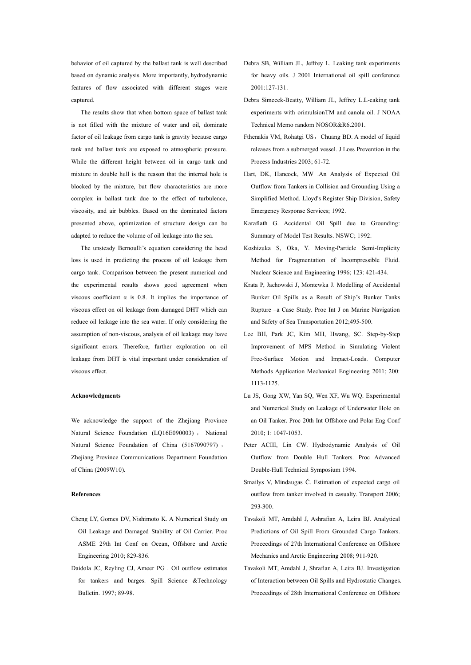behavior of oil captured by the ballast tank is well described based on dynamic analysis. More importantly, hydrodynamic features of flow associated with different stages were captured.

The results show that when bottom space of ballast tank is not filled with the mixture of water and oil, dominate factor of oil leakage from cargo tank is gravity because cargo tank and ballast tank are exposed to atmospheric pressure. While the different height between oil in cargo tank and mixture in double hull is the reason that the internal hole is<br>blocked by the mixture, but flow characteristics are more complex in ballast tank due to the effect of turbulence, viscosity, and air bubbles. Based on the dominated factors presented above, optimization of structure design can be adapted to reduce the volume of oil leakage into the sea.

The unsteady Bernoulli's equation considering the head loss is used in predicting the process of oil leakage from cargo tank. Comparison between the present numerical and the experimental results shows good agreement when viscous coefficient  $\alpha$  is 0.8. It implies the importance of viscous effect on oil leakage from damaged DHT which can reduce oil leakage into the sea water. If only considering the assumption of non-viscous, analysis of oil leakage may have significant errors. Therefore, further exploration on oil leakage from DHT is vital important under consideration of viscous effect.

#### **Acknowledgments**

We acknowledge the support of the Zhejiang Province Natural Science Foundation (LQ16E090003) , National Natural Science Foundation of China (5167090797) , Zhejiang Province Communications Department Foundation of China (2009W10).

#### **References**

- Cheng LY, Gomes DV, Nishimoto K. A Numerical Study on Oil Leakage and Damaged Stability of Oil Carrier. Proc ASME 29th Int Conf on Ocean, Offshore and Arctic Engineering 2010; 829-836.
- Daidola JC, Reyling CJ, Ameer PG . Oil outflow estimates for tankers and barges. Spill Science &Technology Bulletin. 1997; 89-98.
- Debra SB, William JL, Jeffrey L. Leaking tank experiments for heavy oils. J 2001 International oil spill conference 2001:127-131.
- Debra Simecek-Beatty, William JL, Jeffrey L.L-eaking tank experiments with orimulsionTM and canola oil.J NOAA Technical Memo random NOSOR&R6.2001.
- Fthenakis VM, Rohatgi US, Chuang BD. A model of liquid releases from a submerged vessel. J Loss Prevention in the Process Industries 2003; 61-72.
- Hart, DK, Hancock, MW .An Analysis of Expected Oil Outflow from Tankers in Collision and Grounding Using a Simplified Method. Lloyd's Register Ship Division, Safety Emergency Response Services; 1992.
- Karafiath G. Accidental Oil Spill due to Grounding: Summary of Model Test Results. NSWC; 1992.
- Koshizuka S, Oka, Y. Moving-Particle Semi-Implicity Method for Fragmentation of Incompressible Fluid. Nuclear Science and Engineering 1996; 123: 421-434.
- Krata P, Jachowski J, Montewka J. Modelling of Accidental Bunker Oil Spills as a Result of Ship's Bunker Tanks Rupture –a Case Study. Proc Int J on Marine Navigation and Safety of Sea Transportation 2012;495-500.
- Lee BH, Park JC, Kim MH, Hwang, SC. Step-by-Step Improvement of MPS Method in Simulating Violent Free-Surface Motion and Impact-Loads. Computer Methods Application Mechanical Engineering 2011; 200: 1113-1125.
- Lu JS, Gong XW, Yan SQ, Wen XF, Wu WQ. Experimental and Numerical Study on Leakage of Underwater Hole on an Oil Tanker. Proc 20th Int Offshore and Polar Eng Conf 2010; 1: 1047-1053.
- Peter ACIII, Lin CW. Hydrodynamic Analysis of Oil Outflow from Double Hull Tankers. Proc Advanced Double-Hull Technical Symposium 1994.
- Smailys V, Mindaugas Č. Estimation of expected cargo oil outflow from tanker involved in casualty. Transport 2006; 293-300.
- Tavakoli MT, Amdahl J, Ashrafian A, Leira BJ. Analytical Predictions of Oil Spill From Grounded Cargo Tankers. Proceedings of 27th International Conference on Offshore Mechanics and Arctic Engineering 2008; 911-920.
- Tavakoli MT, Amdahl J, Shrafian A, Leira BJ. Investigation of Interaction between Oil Spills and Hydrostatic Changes. Proceedings of 28th International Conference on Offshore